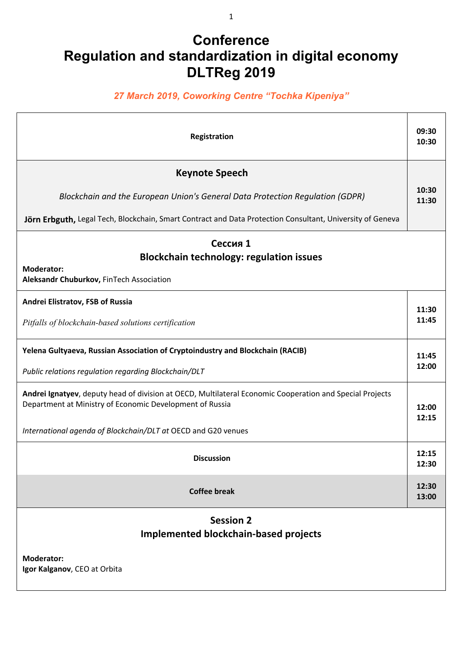## **Conference Regulation and standardization in digital economy DLTReg 2019**

## *27 March 2019, Coworking Centre "Tochka Kipeniya"*

| Registration                                                                                                                                                                                                                          | 09:30<br>10:30 |  |
|---------------------------------------------------------------------------------------------------------------------------------------------------------------------------------------------------------------------------------------|----------------|--|
| <b>Keynote Speech</b><br>Blockchain and the European Union's General Data Protection Regulation (GDPR)<br>Jörn Erbguth, Legal Tech, Blockchain, Smart Contract and Data Protection Consultant, University of Geneva                   | 10:30<br>11:30 |  |
| Сессия 1<br><b>Blockchain technology: regulation issues</b><br><b>Moderator:</b><br>Aleksandr Chuburkov, FinTech Association                                                                                                          |                |  |
| Andrei Elistratov, FSB of Russia<br>Pitfalls of blockchain-based solutions certification                                                                                                                                              | 11:30<br>11:45 |  |
| Yelena Gultyaeva, Russian Association of Cryptoindustry and Blockchain (RACIB)<br>Public relations regulation regarding Blockchain/DLT                                                                                                | 11:45<br>12:00 |  |
| Andrei Ignatyev, deputy head of division at OECD, Multilateral Economic Cooperation and Special Projects<br>Department at Ministry of Economic Development of Russia<br>International agenda of Blockchain/DLT at OECD and G20 venues | 12:00<br>12:15 |  |
| <b>Discussion</b>                                                                                                                                                                                                                     | 12:15<br>12:30 |  |
| <b>Coffee break</b>                                                                                                                                                                                                                   | 12:30<br>13:00 |  |
| <b>Session 2</b><br><b>Implemented blockchain-based projects</b>                                                                                                                                                                      |                |  |
| <b>Moderator:</b><br>Igor Kalganov, CEO at Orbita                                                                                                                                                                                     |                |  |